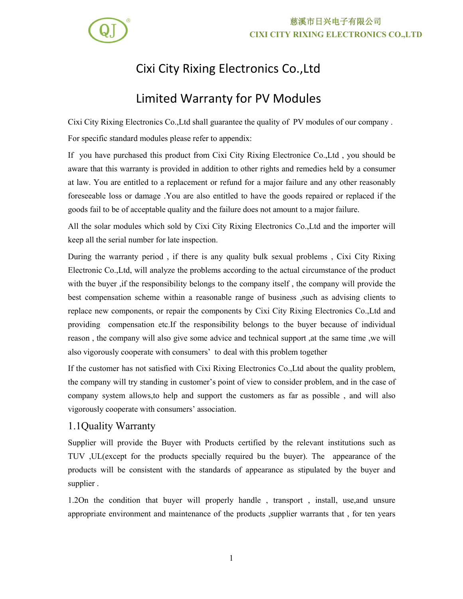

# 慈溪市日兴电子有限公司 **CIXI CITY RIXING ELECTRONICS CO.,LTD**

# Cixi City Rixing Electronics Co.,Ltd

# Limited Warranty for PV Modules

Cixi City Rixing Electronics Co.,Ltd shall guarantee the quality of PV modules of our company . For specific standard modules please refer to appendix:

If you have purchased this product from Cixi City Rixing Electronice Co.,Ltd , you should be aware that this warranty is provided in addition to other rights and remedies held by a consumer at law. You are entitled to a replacement or refund for a major failure and any other reasonably foreseeable loss or damage .You are also entitled to have the goods repaired or replaced if the goods fail to be of acceptable quality and the failure does not amount to a major failure.

All the solar modules which sold by Cixi City Rixing Electronics Co.,Ltd and the importer will keep all the serial number for late inspection.

During the warranty period , if there is any quality bulk sexual problems , Cixi City Rixing Electronic Co., Ltd, will analyze the problems according to the actual circumstance of the product with the buyer ,if the responsibility belongs to the company itself , the company will provide the best compensation scheme within a reasonable range of business ,such as advising clients to replace new components, or repair the components by Cixi City Rixing Electronics Co.,Ltd and providing compensation etc.If the responsibility belongs to the buyer because of individual reason , the company will also give some advice and technical support ,at the same time ,we will also vigorously cooperate with consumers' to deal with this problem together

If the customer has not satisfied with Cixi Rixing Electronics Co.,Ltd about the quality problem, the company will try standing in customer's point of view to consider problem, and in the case of company system allows,to help and support the customers as far as possible , and will also vigorously cooperate with consumers' association.

### 1.1Quality Warranty

Supplier will provide the Buyer with Products certified by the relevant institutions such as TUV ,UL(except for the products specially required bu the buyer). The appearance of the products will be consistent with the standards of appearance as stipulated by the buyer and supplier .

1.2On the condition that buyer will properly handle , transport , install, use,and unsure appropriate environment and maintenance of the products ,supplier warrants that , for ten years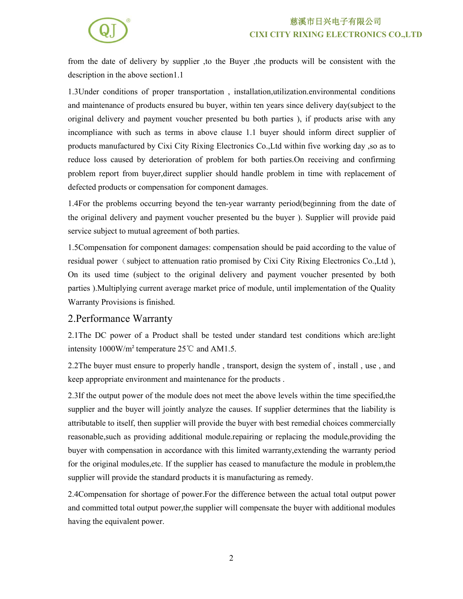### 慈溪市日兴电子有限公司 **CIXI CITY RIXING ELECTRONICS CO.,LTD**



from the date of delivery by supplier ,to the Buyer ,the products will be consistent with the description in the above section1.1

1.3Under conditions of proper transportation , installation,utilization.environmental conditions and maintenance of products ensured bu buyer, within ten years since delivery day(subject to the original delivery and payment voucher presented bu both parties ), if products arise with any incompliance with such as terms in above clause 1.1 buyer should inform direct supplier of products manufactured by Cixi City Rixing Electronics Co.,Ltd within five working day ,so as to reduce loss caused by deterioration of problem for both parties.On receiving and confirming problem report from buyer,direct supplier should handle problem in time with replacement of defected products or compensation for component damages.

1.4For the problems occurring beyond the ten-year warranty period(beginning from the date of the original delivery and payment voucher presented bu the buyer ). Supplier will provide paid service subject to mutual agreement of both parties.

1.5Compensation for component damages: compensation should be paid according to the value of residual power (subject to attenuation ratio promised by Cixi City Rixing Electronics Co.,Ltd), On its used time (subject to the original delivery and payment voucher presented by both parties ).Multiplying current average market price of module, until implementation of the Quality Warranty Provisions is finished.

#### 2.Performance Warranty

2.1The DC power of a Product shall be tested under standard test conditions which are:light intensity  $1000$ W/m<sup>2</sup> temperature  $25^{\circ}$ C and AM1.5.

2.2The buyer must ensure to properly handle, transport, design the system of, install, use, and keep appropriate environment and maintenance for the products .

2.3If the output power of the module does not meet the above levels within the time specified,the supplier and the buyer will jointly analyze the causes. If supplier determines that the liability is attributable to itself, then supplier will provide the buyer with best remedial choices commercially reasonable,such as providing additional module.repairing or replacing the module,providing the buyer with compensation in accordance with this limited warranty,extending the warranty period for the original modules,etc. If the supplier has ceased to manufacture the module in problem,the supplier will provide the standard products it is manufacturing as remedy.

2.4Compensation for shortage of power. For the difference between the actual total output power and committed total output power, the supplier will compensate the buyer with additional modules having the equivalent power.